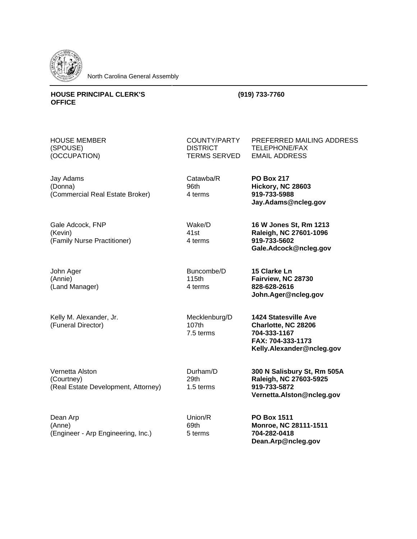

North Carolina General Assembly

## **HOUSE PRINCIPAL CLERK'S OFFICE**

## **(919) 733-7760**

HOUSE MEMBER (SPOUSE) (OCCUPATION)

Jay Adams (Donna) (Commercial Real Estate Broker)

Gale Adcock, FNP (Kevin) (Family Nurse Practitioner)

John Ager (Annie) (Land Manager)

Kelly M. Alexander, Jr. (Funeral Director)

Vernetta Alston (Courtney) (Real Estate Development, Attorney)

Dean Arp (Anne) (Engineer - Arp Engineering, Inc.) **DISTRICT** TERMS SERVED TELEPHONE/FAX EMAIL ADDRESS

Catawba/R 96th 4 terms

Wake/D 41st 4 terms

COUNTY/PARTY

**PO Box 217 Hickory, NC 28603 919-733-5988 Jay.Adams@ncleg.gov**

PREFERRED MAILING ADDRESS

**16 W Jones St, Rm 1213 Raleigh, NC 27601-1096 919-733-5602 Gale.Adcock@ncleg.gov**

Buncombe/D 115th 4 terms

**15 Clarke Ln Fairview, NC 28730 828-628-2616 John.Ager@ncleg.gov**

Mecklenburg/D 107th 7.5 terms

**1424 Statesville Ave Charlotte, NC 28206 704-333-1167 FAX: 704-333-1173 Kelly.Alexander@ncleg.gov**

Durham/D 29th 1.5 terms

Union/R 69th 5 terms

**300 N Salisbury St, Rm 505A Raleigh, NC 27603-5925 919-733-5872 Vernetta.Alston@ncleg.gov**

**PO Box 1511 Monroe, NC 28111-1511 704-282-0418 Dean.Arp@ncleg.gov**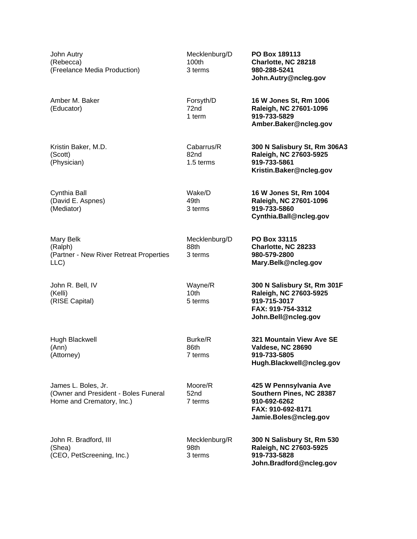John Autry (Rebecca) (Freelance Media Production)

Amber M. Baker (Educator)

Kristin Baker, M.D. (Scott) (Physician)

Cynthia Ball (David E. Aspnes) (Mediator)

Mary Belk (Ralph) (Partner - New River Retreat Properties LLC)

John R. Bell, IV (Kelli) (RISE Capital)

Hugh Blackwell (Ann) (Attorney)

James L. Boles, Jr. (Owner and President - Boles Funeral Home and Crematory, Inc.)

John R. Bradford, III (Shea) (CEO, PetScreening, Inc.) Mecklenburg/D 100th 3 terms

72nd 1 term **PO Box 189113 Charlotte, NC 28218 980-288-5241 John.Autry@ncleg.gov**

**16 W Jones St, Rm 1004 Raleigh, NC 27601-1096**

**Cynthia.Ball@ncleg.gov**

**Mary.Belk@ncleg.gov**

**300 N Salisbury St, Rm 301F Raleigh, NC 27603-5925**

**321 Mountain View Ave SE**

**Hugh.Blackwell@ncleg.gov**

**425 W Pennsylvania Ave Southern Pines, NC 28387**

**Valdese, NC 28690 919-733-5805**

Forsyth/D **16 W Jones St, Rm 1006 Raleigh, NC 27601-1096 919-733-5829 Amber.Baker@ncleg.gov**

**919-733-5860**

**PO Box 33115 Charlotte, NC 28233 980-579-2800**

**919-715-3017 FAX: 919-754-3312 John.Bell@ncleg.gov**

Cabarrus/R 82nd 1.5 terms **300 N Salisbury St, Rm 306A3 Raleigh, NC 27603-5925 919-733-5861 Kristin.Baker@ncleg.gov**

Wake/D 49th 3 terms

Mecklenburg/D 88th 3 terms

Wayne/R 10th 5 terms

Burke/R 86th 7 terms

52nd

Moore/R

7 terms

**910-692-6262 FAX: 910-692-8171**

**Jamie.Boles@ncleg.gov**

Mecklenburg/R 98th 3 terms **300 N Salisbury St, Rm 530 Raleigh, NC 27603-5925 919-733-5828 John.Bradford@ncleg.gov**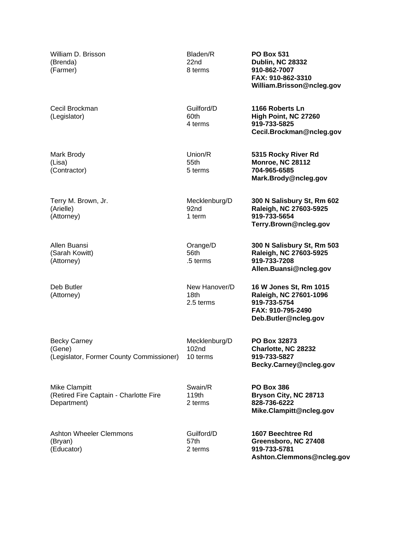| William D. Brisson<br>(Brenda)<br>(Farmer)                                | Bladen/R<br>22nd<br>8 terms                    | <b>PO Box 531</b><br><b>Dublin, NC 28332</b><br>910-862-7007<br>FAX: 910-862-3310<br>William.Brisson@ncleg.gov |
|---------------------------------------------------------------------------|------------------------------------------------|----------------------------------------------------------------------------------------------------------------|
| Cecil Brockman<br>(Legislator)                                            | Guilford/D<br>60th<br>4 terms                  | 1166 Roberts Ln<br>High Point, NC 27260<br>919-733-5825<br>Cecil.Brockman@ncleg.gov                            |
| Mark Brody<br>(Lisa)<br>(Contractor)                                      | Union/R<br>55th<br>5 terms                     | 5315 Rocky River Rd<br><b>Monroe, NC 28112</b><br>704-965-6585<br>Mark.Brody@ncleg.gov                         |
| Terry M. Brown, Jr.<br>(Arielle)<br>(Attorney)                            | Mecklenburg/D<br>92nd<br>1 term                | 300 N Salisbury St, Rm 602<br>Raleigh, NC 27603-5925<br>919-733-5654<br>Terry.Brown@ncleg.gov                  |
| Allen Buansi<br>(Sarah Kowitt)<br>(Attorney)                              | Orange/D<br>56th<br>.5 terms                   | 300 N Salisbury St, Rm 503<br>Raleigh, NC 27603-5925<br>919-733-7208<br>Allen.Buansi@ncleg.gov                 |
| Deb Butler<br>(Attorney)                                                  | New Hanover/D<br>18th<br>2.5 terms             | 16 W Jones St, Rm 1015<br>Raleigh, NC 27601-1096<br>919-733-5754<br>FAX: 910-795-2490<br>Deb.Butler@ncleg.gov  |
| <b>Becky Carney</b><br>(Gene)<br>(Legislator, Former County Commissioner) | Mecklenburg/D<br>102 <sub>nd</sub><br>10 terms | PO Box 32873<br>Charlotte, NC 28232<br>919-733-5827<br>Becky.Carney@ncleg.gov                                  |
| Mike Clampitt<br>(Retired Fire Captain - Charlotte Fire<br>Department)    | Swain/R<br>119th<br>2 terms                    | <b>PO Box 386</b><br>Bryson City, NC 28713<br>828-736-6222<br>Mike.Clampitt@ncleg.gov                          |
| <b>Ashton Wheeler Clemmons</b><br>(Bryan)<br>(Educator)                   | Guilford/D<br>57th<br>2 terms                  | 1607 Beechtree Rd<br>Greensboro, NC 27408<br>919-733-5781<br>Ashton.Clemmons@ncleg.gov                         |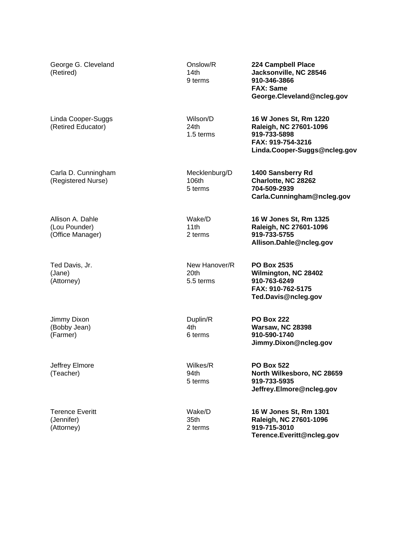| George G. Cleveland<br>(Retired)                      | Onslow/R<br>14th<br>9 terms                    | 224 Campbell Place<br>Jacksonville, NC 28546<br>910-346-3866<br><b>FAX: Same</b><br>George.Cleveland@ncleg.gov        |
|-------------------------------------------------------|------------------------------------------------|-----------------------------------------------------------------------------------------------------------------------|
| Linda Cooper-Suggs<br>(Retired Educator)              | Wilson/D<br>24th<br>1.5 terms                  | 16 W Jones St, Rm 1220<br>Raleigh, NC 27601-1096<br>919-733-5898<br>FAX: 919-754-3216<br>Linda.Cooper-Suggs@ncleg.gov |
| Carla D. Cunningham<br>(Registered Nurse)             | Mecklenburg/D<br>106th<br>5 terms              | 1400 Sansberry Rd<br>Charlotte, NC 28262<br>704-509-2939<br>Carla.Cunningham@ncleg.gov                                |
| Allison A. Dahle<br>(Lou Pounder)<br>(Office Manager) | Wake/D<br>11th<br>2 terms                      | 16 W Jones St, Rm 1325<br>Raleigh, NC 27601-1096<br>919-733-5755<br>Allison.Dahle@ncleg.gov                           |
| Ted Davis, Jr.<br>(Jane)<br>(Attorney)                | New Hanover/R<br>20 <sub>th</sub><br>5.5 terms | <b>PO Box 2535</b><br>Wilmington, NC 28402<br>910-763-6249<br>FAX: 910-762-5175<br>Ted.Davis@ncleg.gov                |
| Jimmy Dixon<br>(Bobby Jean)<br>(Farmer)               | Duplin/R<br>4th<br>6 terms                     | <b>PO Box 222</b><br><b>Warsaw, NC 28398</b><br>910-590-1740<br>Jimmy.Dixon@ncleg.gov                                 |
| Jeffrey Elmore<br>(Teacher)                           | Wilkes/R<br>94th<br>5 terms                    | <b>PO Box 522</b><br>North Wilkesboro, NC 28659<br>919-733-5935<br>Jeffrey.Elmore@ncleg.gov                           |
| <b>Terence Everitt</b><br>(Jennifer)<br>(Attorney)    | Wake/D<br>35th<br>2 terms                      | 16 W Jones St, Rm 1301<br>Raleigh, NC 27601-1096<br>919-715-3010<br>Terence.Everitt@ncleg.gov                         |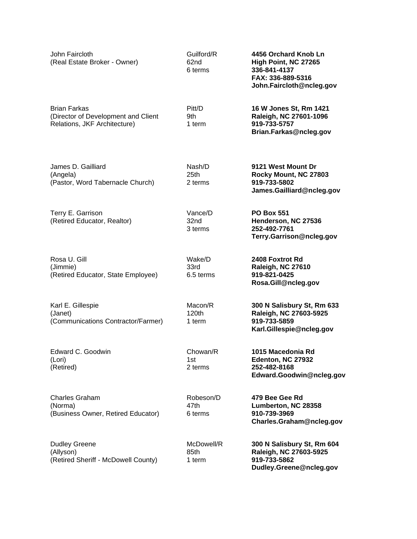| John Faircloth<br>(Real Estate Broker - Owner)                                             | Guilford/R<br>62nd<br>6 terms | 4456 Orchard Knob Ln<br>High Point, NC 27265<br>336-841-4137<br>FAX: 336-889-5316<br>John.Faircloth@ncleg.gov |
|--------------------------------------------------------------------------------------------|-------------------------------|---------------------------------------------------------------------------------------------------------------|
| <b>Brian Farkas</b><br>(Director of Development and Client<br>Relations, JKF Architecture) | Pitt/D<br>9th<br>1 term       | 16 W Jones St, Rm 1421<br>Raleigh, NC 27601-1096<br>919-733-5757<br>Brian.Farkas@ncleg.gov                    |
| James D. Gailliard<br>(Angela)<br>(Pastor, Word Tabernacle Church)                         | Nash/D<br>25th<br>2 terms     | 9121 West Mount Dr<br>Rocky Mount, NC 27803<br>919-733-5802<br>James.Gailliard@ncleg.gov                      |
| Terry E. Garrison<br>(Retired Educator, Realtor)                                           | Vance/D<br>32nd<br>3 terms    | <b>PO Box 551</b><br>Henderson, NC 27536<br>252-492-7761<br>Terry.Garrison@ncleg.gov                          |
| Rosa U. Gill<br>(Jimmie)<br>(Retired Educator, State Employee)                             | Wake/D<br>33rd<br>6.5 terms   | 2408 Foxtrot Rd<br>Raleigh, NC 27610<br>919-821-0425<br>Rosa.Gill@ncleg.gov                                   |
| Karl E. Gillespie<br>(Janet)<br>(Communications Contractor/Farmer)                         | Macon/R<br>120th<br>1 term    | 300 N Salisbury St, Rm 633<br>Raleigh, NC 27603-5925<br>919-733-5859<br>Karl.Gillespie@ncleg.gov              |
| Edward C. Goodwin<br>(Lori)<br>(Retired)                                                   | Chowan/R<br>1st<br>2 terms    | 1015 Macedonia Rd<br>Edenton, NC 27932<br>252-482-8168<br>Edward.Goodwin@ncleg.gov                            |
| <b>Charles Graham</b><br>(Norma)<br>(Business Owner, Retired Educator)                     | Robeson/D<br>47th<br>6 terms  | 479 Bee Gee Rd<br>Lumberton, NC 28358<br>910-739-3969<br>Charles.Graham@ncleg.gov                             |
| <b>Dudley Greene</b><br>(Allyson)<br>(Retired Sheriff - McDowell County)                   | McDowell/R<br>85th<br>1 term  | 300 N Salisbury St, Rm 604<br>Raleigh, NC 27603-5925<br>919-733-5862<br>Dudley.Greene@ncleg.gov               |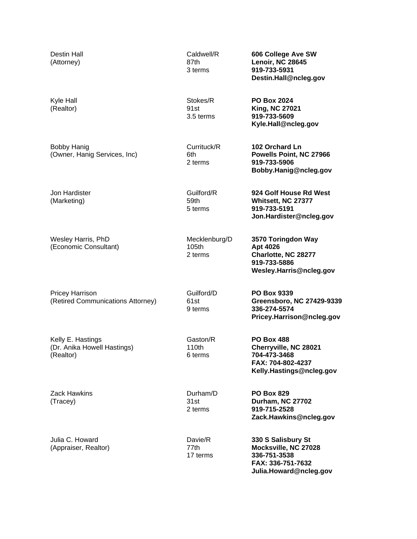| Destin Hall<br>(Attorney)                                     | Caldwell/R<br>87th<br>3 terms     | 606 College Ave SW<br>Lenoir, NC 28645<br>919-733-5931<br>Destin.Hall@ncleg.gov                             |
|---------------------------------------------------------------|-----------------------------------|-------------------------------------------------------------------------------------------------------------|
| Kyle Hall<br>(Realtor)                                        | Stokes/R<br>91st<br>3.5 terms     | <b>PO Box 2024</b><br><b>King, NC 27021</b><br>919-733-5609<br>Kyle.Hall@ncleg.gov                          |
| <b>Bobby Hanig</b><br>(Owner, Hanig Services, Inc)            | Currituck/R<br>6th<br>2 terms     | 102 Orchard Ln<br>Powells Point, NC 27966<br>919-733-5906<br>Bobby.Hanig@ncleg.gov                          |
| Jon Hardister<br>(Marketing)                                  | Guilford/R<br>59th<br>5 terms     | 924 Golf House Rd West<br>Whitsett, NC 27377<br>919-733-5191<br>Jon.Hardister@ncleg.gov                     |
| Wesley Harris, PhD<br>(Economic Consultant)                   | Mecklenburg/D<br>105th<br>2 terms | 3570 Toringdon Way<br>Apt 4026<br>Charlotte, NC 28277<br>919-733-5886<br>Wesley.Harris@ncleg.gov            |
| <b>Pricey Harrison</b><br>(Retired Communications Attorney)   | Guilford/D<br>61st<br>9 terms     | <b>PO Box 9339</b><br>Greensboro, NC 27429-9339<br>336-274-5574<br>Pricey.Harrison@ncleg.gov                |
| Kelly E. Hastings<br>(Dr. Anika Howell Hastings)<br>(Realtor) | Gaston/R<br>110th<br>6 terms      | <b>PO Box 488</b><br>Cherryville, NC 28021<br>704-473-3468<br>FAX: 704-802-4237<br>Kelly.Hastings@ncleg.gov |
| <b>Zack Hawkins</b><br>(Tracey)                               | Durham/D<br>31st<br>2 terms       | <b>PO Box 829</b><br><b>Durham, NC 27702</b><br>919-715-2528<br>Zack.Hawkins@ncleg.gov                      |
| Julia C. Howard<br>(Appraiser, Realtor)                       | Davie/R<br>77th<br>17 terms       | 330 S Salisbury St<br>Mocksville, NC 27028<br>336-751-3538<br>FAX: 336-751-7632<br>Julia.Howard@ncleg.gov   |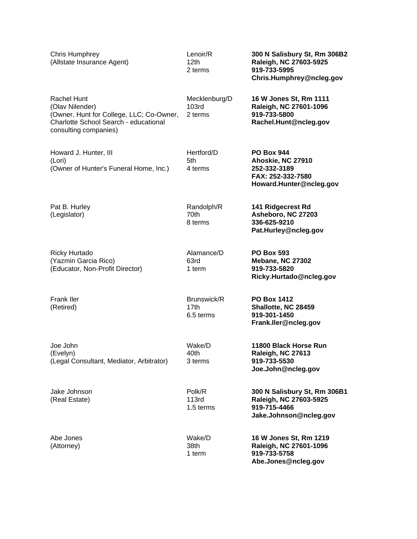| <b>Chris Humphrey</b><br>(Allstate Insurance Agent)                                                                                          | Lenoir/R<br>12 <sub>th</sub><br>2 terms | 300 N Salisbury St, Rm 306B2<br>Raleigh, NC 27603-5925<br>919-733-5995<br>Chris.Humphrey@ncleg.gov     |
|----------------------------------------------------------------------------------------------------------------------------------------------|-----------------------------------------|--------------------------------------------------------------------------------------------------------|
| Rachel Hunt<br>(Olav Nilender)<br>(Owner, Hunt for College, LLC; Co-Owner,<br>Charlotte School Search - educational<br>consulting companies) | Mecklenburg/D<br>103rd<br>2 terms       | 16 W Jones St, Rm 1111<br>Raleigh, NC 27601-1096<br>919-733-5800<br>Rachel.Hunt@ncleg.gov              |
| Howard J. Hunter, III<br>(Lori)<br>(Owner of Hunter's Funeral Home, Inc.)                                                                    | Hertford/D<br>5th<br>4 terms            | <b>PO Box 944</b><br>Ahoskie, NC 27910<br>252-332-3189<br>FAX: 252-332-7580<br>Howard.Hunter@ncleg.gov |
| Pat B. Hurley<br>(Legislator)                                                                                                                | Randolph/R<br>70th<br>8 terms           | 141 Ridgecrest Rd<br>Asheboro, NC 27203<br>336-625-9210<br>Pat.Hurley@ncleg.gov                        |
| <b>Ricky Hurtado</b><br>(Yazmin Garcia Rico)<br>(Educator, Non-Profit Director)                                                              | Alamance/D<br>63rd<br>1 term            | <b>PO Box 593</b><br><b>Mebane, NC 27302</b><br>919-733-5820<br>Ricky.Hurtado@ncleg.gov                |
| <b>Frank Iler</b><br>(Retired)                                                                                                               | Brunswick/R<br>17th<br>6.5 terms        | <b>PO Box 1412</b><br>Shallotte, NC 28459<br>919-301-1450<br>Frank.ller@ncleg.gov                      |
| Joe John<br>(Evelyn)<br>(Legal Consultant, Mediator, Arbitrator)                                                                             | Wake/D<br>40th<br>3 terms               | 11800 Black Horse Run<br>Raleigh, NC 27613<br>919-733-5530<br>Joe.John@ncleg.gov                       |
| Jake Johnson<br>(Real Estate)                                                                                                                | Polk/R<br>113rd<br>1.5 terms            | 300 N Salisbury St, Rm 306B1<br>Raleigh, NC 27603-5925<br>919-715-4466<br>Jake.Johnson@ncleg.gov       |
| Abe Jones<br>(Attorney)                                                                                                                      | Wake/D<br>38th<br>1 term                | 16 W Jones St, Rm 1219<br>Raleigh, NC 27601-1096<br>919-733-5758<br>Abe.Jones@ncleg.gov                |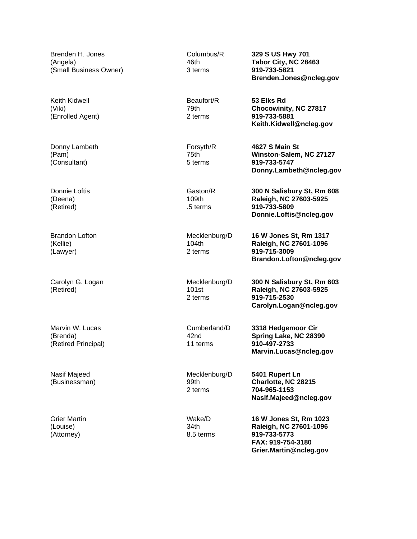Brenden H. Jones (Angela) (Small Business Owner)

Keith Kidwell (Viki) (Enrolled Agent)

Donny Lambeth (Pam) (Consultant)

Donnie Loftis (Deena) (Retired)

Brandon Lofton (Kellie) (Lawyer)

Carolyn G. Logan (Retired)

Marvin W. Lucas (Brenda) (Retired Principal)

Nasif Majeed (Businessman)

Grier Martin (Louise) (Attorney)

Columbus/R 46th 3 terms

Beaufort/R 79th 2 terms

Forsyth/R 75th 5 terms

Gaston/R 109th .5 terms

Mecklenburg/D 104th 2 terms

Mecklenburg/D 101st 2 terms

Cumberland/D 42nd 11 terms

Mecklenburg/D 99th 2 terms

Wake/D 34th 8.5 terms **329 S US Hwy 701 Tabor City, NC 28463 919-733-5821 Brenden.Jones@ncleg.gov**

**53 Elks Rd Chocowinity, NC 27817 919-733-5881 Keith.Kidwell@ncleg.gov**

**4627 S Main St Winston-Salem, NC 27127 919-733-5747 Donny.Lambeth@ncleg.gov**

**300 N Salisbury St, Rm 608 Raleigh, NC 27603-5925 919-733-5809 Donnie.Loftis@ncleg.gov**

**16 W Jones St, Rm 1317 Raleigh, NC 27601-1096 919-715-3009 Brandon.Lofton@ncleg.gov**

**300 N Salisbury St, Rm 603 Raleigh, NC 27603-5925 919-715-2530 Carolyn.Logan@ncleg.gov**

**3318 Hedgemoor Cir Spring Lake, NC 28390 910-497-2733 Marvin.Lucas@ncleg.gov**

**5401 Rupert Ln Charlotte, NC 28215 704-965-1153 Nasif.Majeed@ncleg.gov**

**16 W Jones St, Rm 1023 Raleigh, NC 27601-1096 919-733-5773 FAX: 919-754-3180 Grier.Martin@ncleg.gov**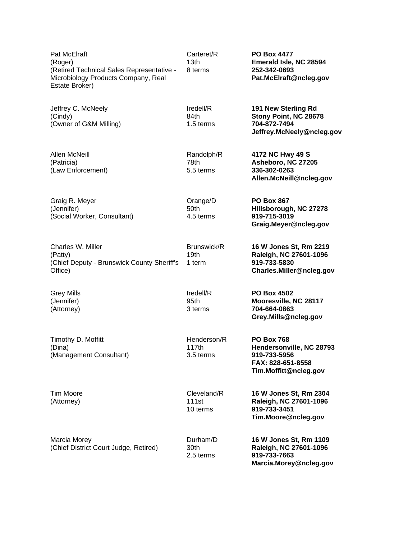Pat McElraft (Roger) (Retired Technical Sales Representative - Microbiology Products Company, Real Estate Broker)

Jeffrey C. McNeely (Cindy) (Owner of G&M Milling)

Allen McNeill (Patricia) (Law Enforcement)

Graig R. Meyer (Jennifer) (Social Worker, Consultant)

Charles W. Miller (Patty) (Chief Deputy - Brunswick County Sheriff's Office) Brunswick/R 19th 1 term

Grey Mills (Jennifer) (Attorney)

Timothy D. Moffitt (Dina) (Management Consultant)

Tim Moore (Attorney)

Marcia Morey (Chief District Court Judge, Retired) Carteret/R 13th 8 terms

Iredell/R 84th 1.5 terms

Randolph/R 78th 5.5 terms

Orange/D 50th 4.5 terms

Iredell/R 95th 3 terms

Henderson/R 117th 3.5 terms

Cleveland/R 111st 10 terms

30th

**PO Box 4477 Emerald Isle, NC 28594 252-342-0693 Pat.McElraft@ncleg.gov**

**191 New Sterling Rd Stony Point, NC 28678 704-872-7494 Jeffrey.McNeely@ncleg.gov**

**4172 NC Hwy 49 S Asheboro, NC 27205 336-302-0263 Allen.McNeill@ncleg.gov**

**PO Box 867 Hillsborough, NC 27278 919-715-3019 Graig.Meyer@ncleg.gov**

**16 W Jones St, Rm 2219 Raleigh, NC 27601-1096 919-733-5830 Charles.Miller@ncleg.gov**

**PO Box 4502 Mooresville, NC 28117 704-664-0863 Grey.Mills@ncleg.gov**

**PO Box 768 Hendersonville, NC 28793 919-733-5956 FAX: 828-651-8558 Tim.Moffitt@ncleg.gov**

**16 W Jones St, Rm 2304 Raleigh, NC 27601-1096 919-733-3451 Tim.Moore@ncleg.gov**

Durham/D 2.5 terms **16 W Jones St, Rm 1109 Raleigh, NC 27601-1096 919-733-7663 Marcia.Morey@ncleg.gov**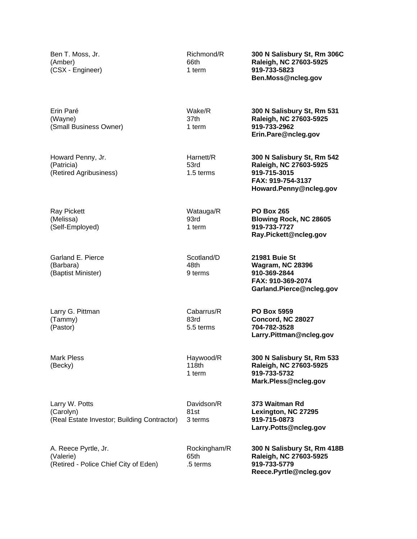Ben T. Moss, Jr. (Amber) (CSX - Engineer) Richmond/R 66th 1 term **300 N Salisbury St, Rm 306C Raleigh, NC 27603-5925 919-733-5823 Ben.Moss@ncleg.gov** Erin Paré (Wayne) (Small Business Owner) Wake/R 37th 1 term **300 N Salisbury St, Rm 531 Raleigh, NC 27603-5925 919-733-2962 Erin.Pare@ncleg.gov** Howard Penny, Jr. (Patricia) (Retired Agribusiness) Harnett/R 53rd 1.5 terms **300 N Salisbury St, Rm 542 Raleigh, NC 27603-5925 919-715-3015 FAX: 919-754-3137 Howard.Penny@ncleg.gov** Ray Pickett (Melissa) (Self-Employed) Watauga/R 93rd 1 term **PO Box 265 Blowing Rock, NC 28605 919-733-7727 Ray.Pickett@ncleg.gov** Garland E. Pierce (Barbara) (Baptist Minister) Scotland/D 48th 9 terms **21981 Buie St Wagram, NC 28396 910-369-2844 FAX: 910-369-2074 Garland.Pierce@ncleg.gov** Larry G. Pittman (Tammy) (Pastor) Cabarrus/R 83rd 5.5 terms **PO Box 5959 Concord, NC 28027 704-782-3528 Larry.Pittman@ncleg.gov** Mark Pless (Becky) Haywood/R 118th 1 term **300 N Salisbury St, Rm 533 Raleigh, NC 27603-5925 919-733-5732 Mark.Pless@ncleg.gov** Larry W. Potts (Carolyn) (Real Estate Investor; Building Contractor) Davidson/R 81st 3 terms **373 Waitman Rd Lexington, NC 27295 919-715-0873 Larry.Potts@ncleg.gov** A. Reece Pyrtle, Jr. (Valerie) (Retired - Police Chief City of Eden) Rockingham/R 65th .5 terms **300 N Salisbury St, Rm 418B Raleigh, NC 27603-5925 919-733-5779 Reece.Pyrtle@ncleg.gov**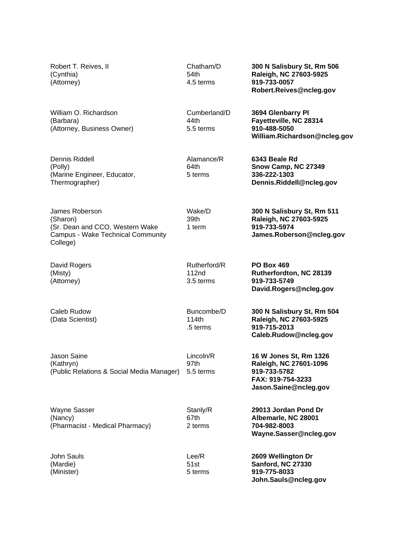Robert T. Reives, II (Cynthia) (Attorney) Chatham/D 54th 4.5 terms **300 N Salisbury St, Rm 506 Raleigh, NC 27603-5925 919-733-0057 Robert.Reives@ncleg.gov** William O. Richardson (Barbara) (Attorney, Business Owner) Cumberland/D 44th 5.5 terms **3694 Glenbarry Pl Fayetteville, NC 28314 910-488-5050 William.Richardson@ncleg.gov** Dennis Riddell (Polly) (Marine Engineer, Educator, Thermographer) Alamance/R 64th 5 terms **6343 Beale Rd Snow Camp, NC 27349 336-222-1303 Dennis.Riddell@ncleg.gov** James Roberson (Sharon) (Sr. Dean and CCO, Western Wake Campus - Wake Technical Community College) Wake/D 39th 1 term **300 N Salisbury St, Rm 511 Raleigh, NC 27603-5925 919-733-5974 James.Roberson@ncleg.gov** David Rogers (Misty) (Attorney) Rutherford/R 112nd 3.5 terms **PO Box 469 Rutherfordton, NC 28139 919-733-5749 David.Rogers@ncleg.gov** Caleb Rudow (Data Scientist) Buncombe/D 114th .5 terms **300 N Salisbury St, Rm 504 Raleigh, NC 27603-5925 919-715-2013 Caleb.Rudow@ncleg.gov** Jason Saine (Kathryn) (Public Relations & Social Media Manager) Lincoln/R 97th 5.5 terms **16 W Jones St, Rm 1326 Raleigh, NC 27601-1096 919-733-5782 FAX: 919-754-3233 Jason.Saine@ncleg.gov** Wayne Sasser (Nancy) (Pharmacist - Medical Pharmacy) Stanly/R 67th 2 terms **29013 Jordan Pond Dr Albemarle, NC 28001 704-982-8003 Wayne.Sasser@ncleg.gov** John Sauls (Mardie) (Minister) Lee/R 51st 5 terms **2609 Wellington Dr Sanford, NC 27330 919-775-8033 John.Sauls@ncleg.gov**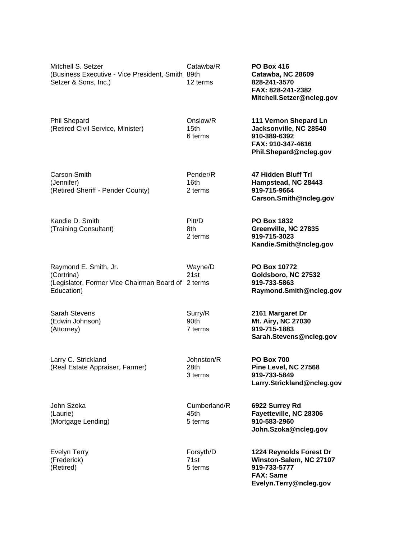| Mitchell S. Setzer<br>(Business Executive - Vice President, Smith 89th<br>Setzer & Sons, Inc.)          | Catawba/R<br>12 terms                   | <b>PO Box 416</b><br>Catawba, NC 28609<br>828-241-3570<br>FAX: 828-241-2382<br>Mitchell.Setzer@ncleg.gov         |
|---------------------------------------------------------------------------------------------------------|-----------------------------------------|------------------------------------------------------------------------------------------------------------------|
| <b>Phil Shepard</b><br>(Retired Civil Service, Minister)                                                | Onslow/R<br>15 <sub>th</sub><br>6 terms | 111 Vernon Shepard Ln<br>Jacksonville, NC 28540<br>910-389-6392<br>FAX: 910-347-4616<br>Phil.Shepard@ncleg.gov   |
| Carson Smith<br>(Jennifer)<br>(Retired Sheriff - Pender County)                                         | Pender/R<br>16th<br>2 terms             | 47 Hidden Bluff Trl<br>Hampstead, NC 28443<br>919-715-9664<br>Carson.Smith@ncleg.gov                             |
| Kandie D. Smith<br>(Training Consultant)                                                                | Pitt/D<br>8th<br>2 terms                | <b>PO Box 1832</b><br>Greenville, NC 27835<br>919-715-3023<br>Kandie.Smith@ncleg.gov                             |
| Raymond E. Smith, Jr.<br>(Cortrina)<br>(Legislator, Former Vice Chairman Board of 2 terms<br>Education) | Wayne/D<br>21st                         | PO Box 10772<br>Goldsboro, NC 27532<br>919-733-5863<br>Raymond.Smith@ncleg.gov                                   |
| <b>Sarah Stevens</b><br>(Edwin Johnson)<br>(Attorney)                                                   | Surry/R<br>90th<br>7 terms              | 2161 Margaret Dr<br>Mt. Airy, NC 27030<br>919-715-1883<br>Sarah.Stevens@ncleg.gov                                |
| Larry C. Strickland<br>(Real Estate Appraiser, Farmer)                                                  | Johnston/R<br>28th<br>3 terms           | <b>PO Box 700</b><br>Pine Level, NC 27568<br>919-733-5849<br>Larry.Strickland@ncleg.gov                          |
| John Szoka<br>(Laurie)<br>(Mortgage Lending)                                                            | Cumberland/R<br>45th<br>5 terms         | 6922 Surrey Rd<br>Fayetteville, NC 28306<br>910-583-2960<br>John.Szoka@ncleg.gov                                 |
| <b>Evelyn Terry</b><br>(Frederick)<br>(Retired)                                                         | Forsyth/D<br>71st<br>5 terms            | 1224 Reynolds Forest Dr<br>Winston-Salem, NC 27107<br>919-733-5777<br><b>FAX: Same</b><br>Evelyn.Terry@ncleg.gov |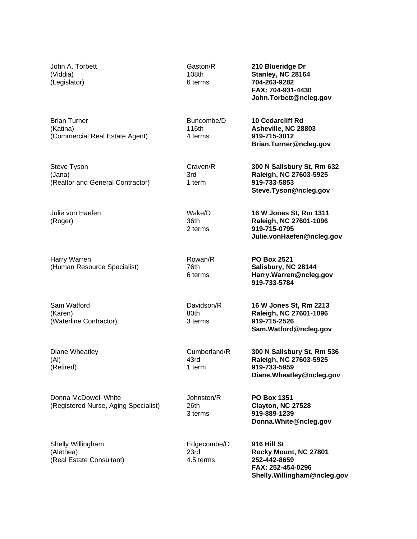| John A. Torbett<br>(Viddia)<br>(Legislator)                       | Gaston/R<br>108th<br>6 terms     | 210 Blueridge Dr<br>Stanley, NC 28164<br>704-263-9282<br>FAX: 704-931-4430<br>John.Torbett@ncleg.gov     |
|-------------------------------------------------------------------|----------------------------------|----------------------------------------------------------------------------------------------------------|
| <b>Brian Turner</b><br>(Katina)<br>(Commercial Real Estate Agent) | Buncombe/D<br>116th<br>4 terms   | <b>10 Cedarcliff Rd</b><br>Asheville, NC 28803<br>919-715-3012<br>Brian.Turner@ncleg.gov                 |
| Steve Tyson<br>(Jana)<br>(Realtor and General Contractor)         | Craven/R<br>3rd<br>1 term        | 300 N Salisbury St, Rm 632<br>Raleigh, NC 27603-5925<br>919-733-5853<br>Steve.Tyson@ncleg.gov            |
| Julie von Haefen<br>(Roger)                                       | Wake/D<br>36th<br>2 terms        | 16 W Jones St, Rm 1311<br>Raleigh, NC 27601-1096<br>919-715-0795<br>Julie.vonHaefen@ncleg.gov            |
| Harry Warren<br>(Human Resource Specialist)                       | Rowan/R<br>76th<br>6 terms       | <b>PO Box 2521</b><br>Salisbury, NC 28144<br>Harry.Warren@ncleg.gov<br>919-733-5784                      |
| Sam Watford<br>(Karen)<br>(Waterline Contractor)                  | Davidson/R<br>80th<br>3 terms    | 16 W Jones St, Rm 2213<br>Raleigh, NC 27601-1096<br>919-715-2526<br>Sam.Watford@ncleg.gov                |
| Diane Wheatley<br>(AI)<br>(Retired)                               | Cumberland/R<br>43rd<br>1 term   | 300 N Salisbury St, Rm 536<br>Raleigh, NC 27603-5925<br>919-733-5959<br>Diane. Wheatley@ncleg.gov        |
| Donna McDowell White<br>(Registered Nurse, Aging Specialist)      | Johnston/R<br>26th<br>3 terms    | <b>PO Box 1351</b><br>Clayton, NC 27528<br>919-889-1239<br>Donna. White@ncleg.gov                        |
| Shelly Willingham<br>(Alethea)<br>(Real Estate Consultant)        | Edgecombe/D<br>23rd<br>4.5 terms | 916 Hill St<br>Rocky Mount, NC 27801<br>252-442-8659<br>FAX: 252-454-0296<br>Shelly.Willingham@ncleg.gov |